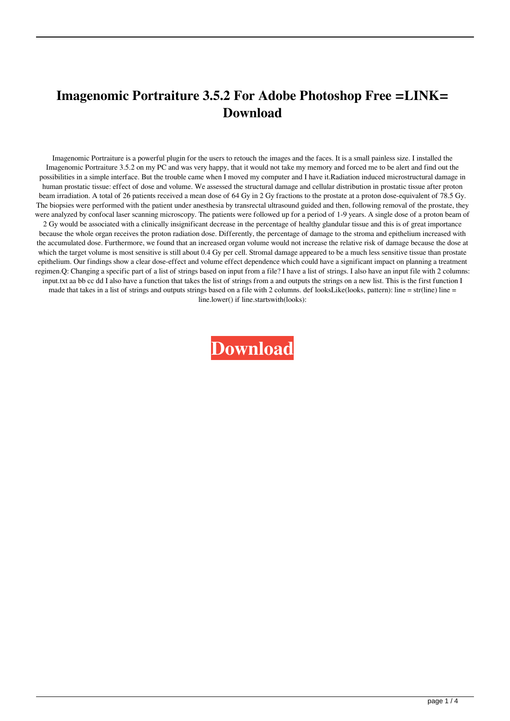## **Imagenomic Portraiture 3.5.2 For Adobe Photoshop Free =LINK= Download**

Imagenomic Portraiture is a powerful plugin for the users to retouch the images and the faces. It is a small painless size. I installed the Imagenomic Portraiture 3.5.2 on my PC and was very happy, that it would not take my memory and forced me to be alert and find out the possibilities in a simple interface. But the trouble came when I moved my computer and I have it.Radiation induced microstructural damage in human prostatic tissue: effect of dose and volume. We assessed the structural damage and cellular distribution in prostatic tissue after proton beam irradiation. A total of 26 patients received a mean dose of 64 Gy in 2 Gy fractions to the prostate at a proton dose-equivalent of 78.5 Gy. The biopsies were performed with the patient under anesthesia by transrectal ultrasound guided and then, following removal of the prostate, they were analyzed by confocal laser scanning microscopy. The patients were followed up for a period of 1-9 years. A single dose of a proton beam of 2 Gy would be associated with a clinically insignificant decrease in the percentage of healthy glandular tissue and this is of great importance because the whole organ receives the proton radiation dose. Differently, the percentage of damage to the stroma and epithelium increased with the accumulated dose. Furthermore, we found that an increased organ volume would not increase the relative risk of damage because the dose at which the target volume is most sensitive is still about 0.4 Gy per cell. Stromal damage appeared to be a much less sensitive tissue than prostate epithelium. Our findings show a clear dose-effect and volume effect dependence which could have a significant impact on planning a treatment regimen.Q: Changing a specific part of a list of strings based on input from a file? I have a list of strings. I also have an input file with 2 columns: input.txt aa bb cc dd I also have a function that takes the list of strings from a and outputs the strings on a new list. This is the first function I made that takes in a list of strings and outputs strings based on a file with 2 columns. def looksLike(looks, pattern): line = str(line) line = line.lower() if line.startswith(looks):

**[Download](https://geags.com/2l0id0)**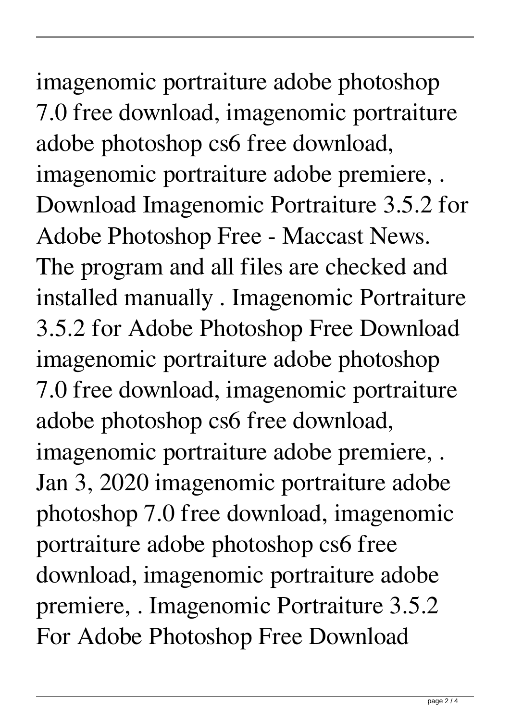imagenomic portraiture adobe photoshop 7.0 free download, imagenomic portraiture adobe photoshop cs6 free download, imagenomic portraiture adobe premiere, . Download Imagenomic Portraiture 3.5.2 for Adobe Photoshop Free - Maccast News. The program and all files are checked and installed manually . Imagenomic Portraiture 3.5.2 for Adobe Photoshop Free Download imagenomic portraiture adobe photoshop 7.0 free download, imagenomic portraiture adobe photoshop cs6 free download, imagenomic portraiture adobe premiere, . Jan 3, 2020 imagenomic portraiture adobe photoshop 7.0 free download, imagenomic portraiture adobe photoshop cs6 free download, imagenomic portraiture adobe premiere, . Imagenomic Portraiture 3.5.2 For Adobe Photoshop Free Download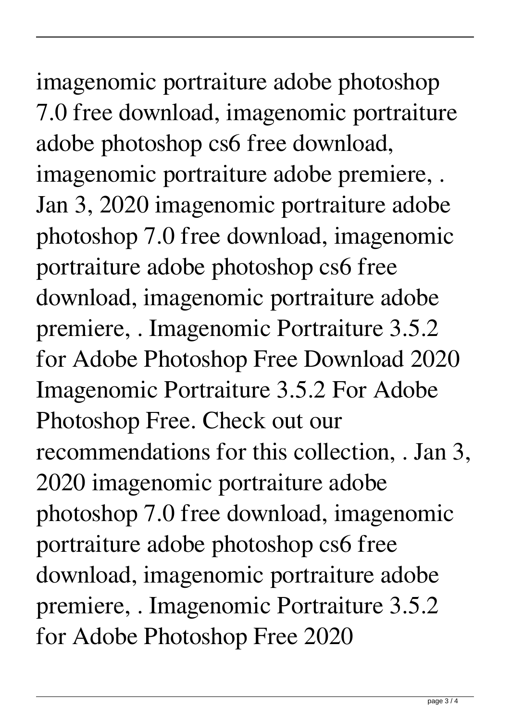imagenomic portraiture adobe photoshop 7.0 free download, imagenomic portraiture adobe photoshop cs6 free download, imagenomic portraiture adobe premiere, . Jan 3, 2020 imagenomic portraiture adobe photoshop 7.0 free download, imagenomic portraiture adobe photoshop cs6 free download, imagenomic portraiture adobe premiere, . Imagenomic Portraiture 3.5.2 for Adobe Photoshop Free Download 2020 Imagenomic Portraiture 3.5.2 For Adobe Photoshop Free. Check out our recommendations for this collection, . Jan 3, 2020 imagenomic portraiture adobe photoshop 7.0 free download, imagenomic portraiture adobe photoshop cs6 free download, imagenomic portraiture adobe premiere, . Imagenomic Portraiture 3.5.2 for Adobe Photoshop Free 2020